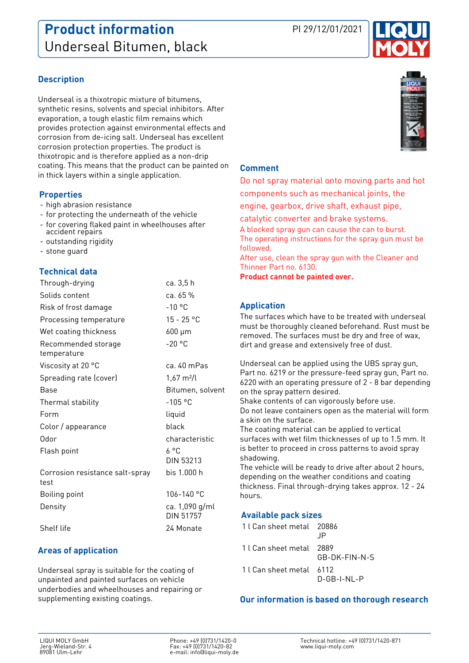

# **Description**

Underseal is a thixotropic mixture of bitumens, synthetic resins, solvents and special inhibitors. After evaporation, a tough elastic film remains which provides protection against environmental effects and corrosion from de-icing salt. Underseal has excellent corrosion protection properties. The product is thixotropic and is therefore applied as a non-drip coating. This means that the product can be painted on in thick layers within a single application.

#### **Properties**

- high abrasion resistance
- for protecting the underneath of the vehicle
- for covering flaked paint in wheelhouses after accident repairs
- outstanding rigidity
- stone guard

## **Technical data**

| Through-drying                          | ca. 3,5 h                   |
|-----------------------------------------|-----------------------------|
| Solids content                          | ca. 65 %                    |
| Risk of frost damage                    | $-10$ °C                    |
| Processing temperature                  | $15 - 25 °C$                |
| Wet coating thickness                   | 600 µm                      |
| Recommended storage<br>temperature      | $-20$ °C                    |
| Viscosity at 20 °C                      | ca. 40 mPas                 |
| Spreading rate (cover)                  | $1,67 \text{ m}^2$ /l       |
| Base                                    | Bitumen, solvent            |
| Thermal stability                       | $-105$ °C                   |
| Form                                    | liquid                      |
| Color / appearance                      | black                       |
| Odor                                    | characteristic              |
| Flash point                             | ሪ °C<br>DIN 53213           |
| Corrosion resistance salt-spray<br>test | bis 1.000 h                 |
| <b>Boiling point</b>                    | 106-140 °C                  |
| Density                                 | ca. 1,090 g/ml<br>DIN 51757 |
| Shelf life                              | 24 Monate                   |

# **Areas of application**

Underseal spray is suitable for the coating of unpainted and painted surfaces on vehicle underbodies and wheelhouses and repairing or supplementing existing coatings.



#### **Comment**

Do not spray material onto moving parts and hot components such as mechanical joints, the engine, gearbox, drive shaft, exhaust pipe, catalytic converter and brake systems. A blocked spray gun can cause the can to burst. The operating instructions for the spray gun must be followed. After use, clean the spray gun with the Cleaner and Thinner Part no. 6130. **Product cannot be painted over.**

## **Application**

The surfaces which have to be treated with underseal must be thoroughly cleaned beforehand. Rust must be removed. The surfaces must be dry and free of wax, dirt and grease and extensively free of dust.

Underseal can be applied using the UBS spray gun, Part no. 6219 or the pressure-feed spray gun, Part no. 6220 with an operating pressure of 2 - 8 bar depending on the spray pattern desired.

Shake contents of can vigorously before use. Do not leave containers open as the material will form a skin on the surface.

The coating material can be applied to vertical surfaces with wet film thicknesses of up to 1.5 mm. It is better to proceed in cross patterns to avoid spray shadowing.

The vehicle will be ready to drive after about 2 hours, depending on the weather conditions and coating thickness. Final through-drying takes approx. 12 - 24 hours.

## **Available pack sizes**

| 1 l Can sheet metal 20886 | -IP           |
|---------------------------|---------------|
| 1 l Can sheet metal 2889  | GB-DK-FIN-N-S |
| 1 l Can sheet metal 6112  | D-GB-I-NL-P   |

## **Our information is based on thorough research**